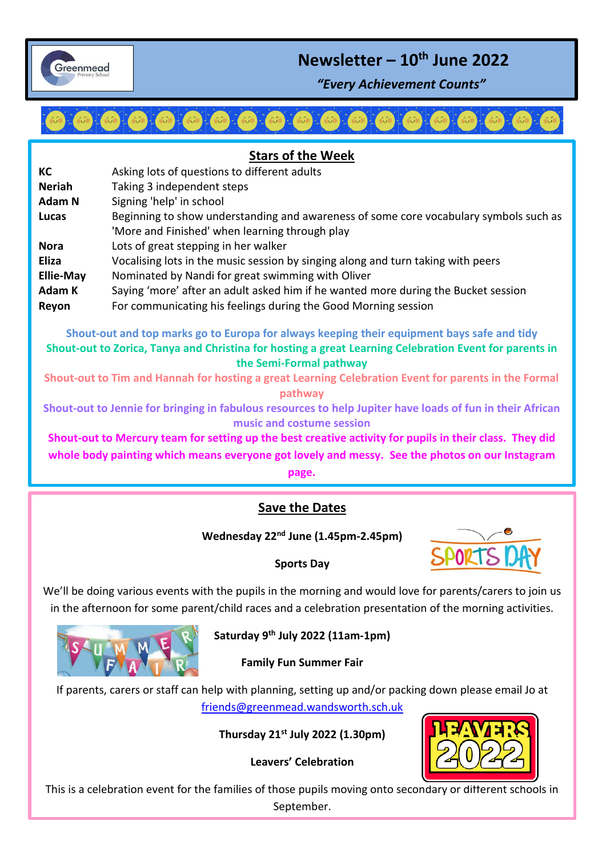

# **Newsletter – 10th June 2022**

*"Every Achievement Counts"*

 $\overline{\phantom{a}}$ 

## **Stars of the Week KC** Asking lots of questions to different adults **Neriah** Taking 3 independent steps **Adam N** Signing 'help' in school **Lucas** Beginning to show understanding and awareness of some core vocabulary symbols such as 'More and Finished' when learning through play **Nora** Lots of great stepping in her walker **Eliza** Vocalising lots in the music session by singing along and turn taking with peers **Ellie-May** Nominated by Nandi for great swimming with Oliver Adam K Saying 'more' after an adult asked him if he wanted more during the Bucket session **Reyon** For communicating his feelings during the Good Morning session

**Shout-out and top marks go to Europa for always keeping their equipment bays safe and tidy Shout-out to Zorica, Tanya and Christina for hosting a great Learning Celebration Event for parents in the Semi-Formal pathway**

**Shout-out to Tim and Hannah for hosting a great Learning Celebration Event for parents in the Formal pathway**

**Shout-out to Jennie for bringing in fabulous resources to help Jupiter have loads of fun in their African music and costume session**

**Shout-out to Mercury team for setting up the best creative activity for pupils in their class. They did whole body painting which means everyone got lovely and messy. See the photos on our Instagram** 

**page.**

## **Save the Dates**

**Wednesday 22nd June (1.45pm-2.45pm)**



#### **Sports Day**

We'll be doing various events with the pupils in the morning and would love for parents/carers to join us in the afternoon for some parent/child races and a celebration presentation of the morning activities.



**Saturday 9th July 2022 (11am-1pm)**

**Family Fun Summer Fair**

If parents, carers or staff can help with planning, setting up and/or packing down please email Jo at [friends@greenmead.wandsworth.sch.uk](mailto:friends@greenmead.wandsworth.sch.uk)

**Thursday 21st July 2022 (1.30pm)**

**Leavers' Celebration**



This is a celebration event for the families of those pupils moving onto secondary or different schools in September.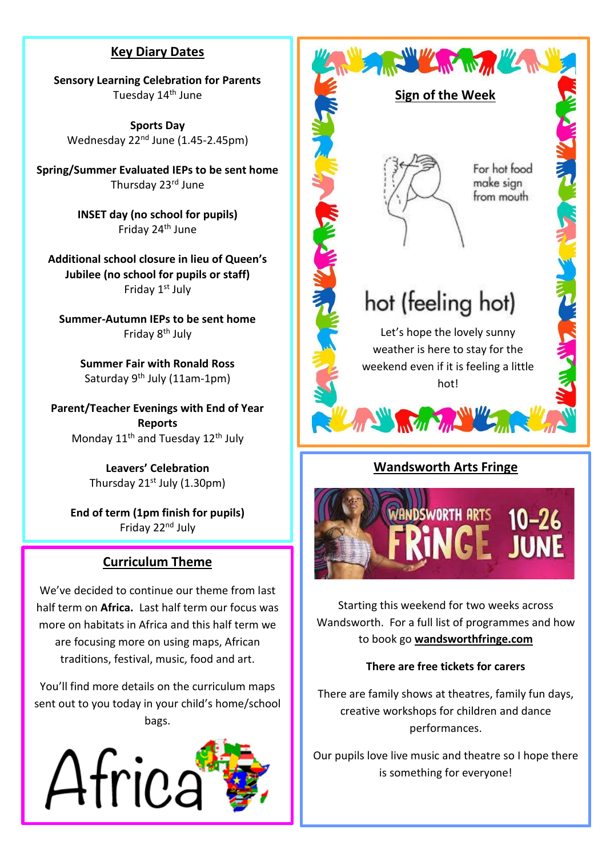## **Key Diary Dates**

**Sensory Learning Celebration for Parents** Tuesday 14<sup>th</sup> June

**Sports Day** Wednesday 22<sup>nd</sup> June (1.45-2.45pm)

**Spring/Summer Evaluated IEPs to be sent home** Thursday 23rd June

> **INSET day (no school for pupils)** Friday 24th June

**Additional school closure in lieu of Queen's Jubilee (no school for pupils or staff)** Friday 1st July

**Summer-Autumn IEPs to be sent home** Friday 8th July

> **Summer Fair with Ronald Ross** Saturday  $9^{th}$  July (11am-1pm)

**Parent/Teacher Evenings with End of Year Reports** Monday 11<sup>th</sup> and Tuesday 12<sup>th</sup> July

> **Leavers' Celebration** Thursday  $21^{st}$  July (1.30pm)

**End of term (1pm finish for pupils)** Friday 22nd July

## **Curriculum Theme**

We've decided to continue our theme from last half term on **Africa.** Last half term our focus was more on habitats in Africa and this half term we are focusing more on using maps, African traditions, festival, music, food and art.

You'll find more details on the curriculum maps sent out to you today in your child's home/school bags.





## **Wandsworth Arts Fringe**



Starting this weekend for two weeks across Wandsworth. For a full list of programmes and how to book go **wandsworthfringe.com**

#### **There are free tickets for carers**

There are family shows at theatres, family fun days, creative workshops for children and dance performances.

Our pupils love live music and theatre so I hope there is something for everyone!